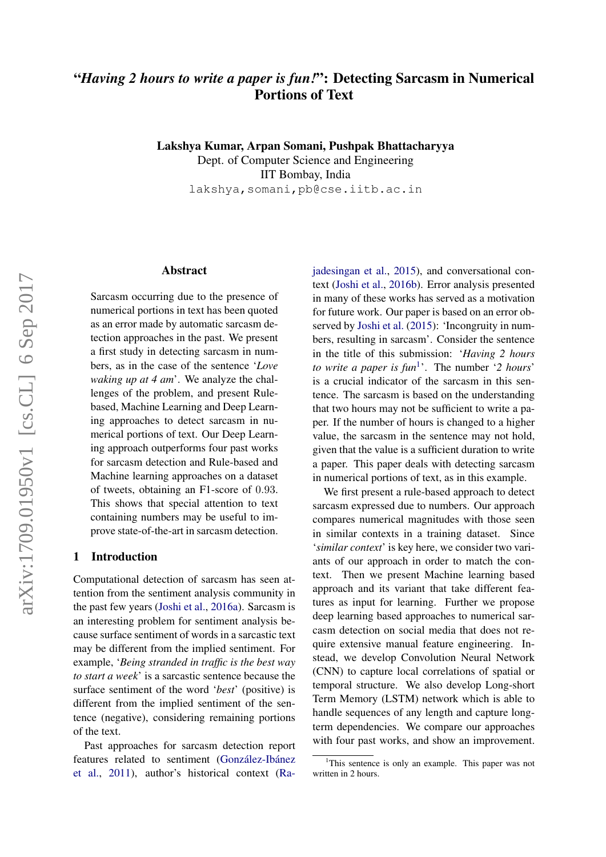# "*Having 2 hours to write a paper is fun!*": Detecting Sarcasm in Numerical Portions of Text

Lakshya Kumar, Arpan Somani, Pushpak Bhattacharyya Dept. of Computer Science and Engineering IIT Bombay, India lakshya,somani,pb@cse.iitb.ac.in

Abstract

Sarcasm occurring due to the presence of numerical portions in text has been quoted as an error made by automatic sarcasm detection approaches in the past. We present a first study in detecting sarcasm in numbers, as in the case of the sentence '*Love waking up at 4 am*'. We analyze the challenges of the problem, and present Rulebased, Machine Learning and Deep Learning approaches to detect sarcasm in numerical portions of text. Our Deep Learning approach outperforms four past works for sarcasm detection and Rule-based and Machine learning approaches on a dataset of tweets, obtaining an F1-score of 0.93. This shows that special attention to text containing numbers may be useful to improve state-of-the-art in sarcasm detection.

#### 1 Introduction

Computational detection of sarcasm has seen attention from the sentiment analysis community in the past few years [\(Joshi et al.,](#page-8-0) [2016a\)](#page-8-0). Sarcasm is an interesting problem for sentiment analysis because surface sentiment of words in a sarcastic text may be different from the implied sentiment. For example, '*Being stranded in traffic is the best way to start a week*' is a sarcastic sentence because the surface sentiment of the word '*best*' (positive) is different from the implied sentiment of the sentence (negative), considering remaining portions of the text.

Past approaches for sarcasm detection report features related to sentiment (González-Ibánez [et al.,](#page-8-1) [2011\)](#page-8-1), author's historical context [\(Ra-](#page-8-2) [jadesingan et al.,](#page-8-2) [2015\)](#page-8-2), and conversational context [\(Joshi et al.,](#page-8-3) [2016b\)](#page-8-3). Error analysis presented in many of these works has served as a motivation for future work. Our paper is based on an error observed by [Joshi et al.](#page-8-4) [\(2015\)](#page-8-4): 'Incongruity in numbers, resulting in sarcasm'. Consider the sentence in the title of this submission: '*Having 2 hours to write a paper is fun*<sup>[1](#page-0-0)</sup>. The number '2 *hours*' is a crucial indicator of the sarcasm in this sentence. The sarcasm is based on the understanding that two hours may not be sufficient to write a paper. If the number of hours is changed to a higher value, the sarcasm in the sentence may not hold, given that the value is a sufficient duration to write a paper. This paper deals with detecting sarcasm in numerical portions of text, as in this example.

We first present a rule-based approach to detect sarcasm expressed due to numbers. Our approach compares numerical magnitudes with those seen in similar contexts in a training dataset. Since '*similar context*' is key here, we consider two variants of our approach in order to match the context. Then we present Machine learning based approach and its variant that take different features as input for learning. Further we propose deep learning based approaches to numerical sarcasm detection on social media that does not require extensive manual feature engineering. Instead, we develop Convolution Neural Network (CNN) to capture local correlations of spatial or temporal structure. We also develop Long-short Term Memory (LSTM) network which is able to handle sequences of any length and capture longterm dependencies. We compare our approaches with four past works, and show an improvement.

<span id="page-0-0"></span><sup>&</sup>lt;sup>1</sup>This sentence is only an example. This paper was not written in 2 hours.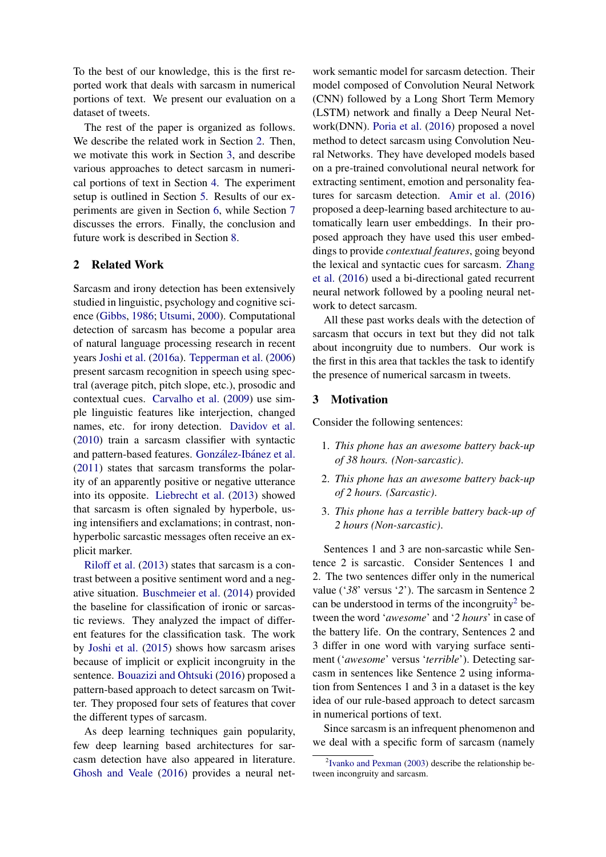To the best of our knowledge, this is the first reported work that deals with sarcasm in numerical portions of text. We present our evaluation on a dataset of tweets.

The rest of the paper is organized as follows. We describe the related work in Section [2.](#page-1-0) Then, we motivate this work in Section [3,](#page-1-1) and describe various approaches to detect sarcasm in numerical portions of text in Section [4.](#page-2-0) The experiment setup is outlined in Section [5.](#page-5-0) Results of our experiments are given in Section [6,](#page-6-0) while Section [7](#page-7-0) discusses the errors. Finally, the conclusion and future work is described in Section [8.](#page-7-1)

### <span id="page-1-0"></span>2 Related Work

Sarcasm and irony detection has been extensively studied in linguistic, psychology and cognitive science [\(Gibbs,](#page-8-5) [1986;](#page-8-5) [Utsumi,](#page-8-6) [2000\)](#page-8-6). Computational detection of sarcasm has become a popular area of natural language processing research in recent years [Joshi et al.](#page-8-0) [\(2016a\)](#page-8-0). [Tepperman et al.](#page-8-7) [\(2006\)](#page-8-7) present sarcasm recognition in speech using spectral (average pitch, pitch slope, etc.), prosodic and contextual cues. [Carvalho et al.](#page-8-8) [\(2009\)](#page-8-8) use simple linguistic features like interjection, changed names, etc. for irony detection. [Davidov et al.](#page-8-9) [\(2010\)](#page-8-9) train a sarcasm classifier with syntactic and pattern-based features. González-Ibánez et al. [\(2011\)](#page-8-1) states that sarcasm transforms the polarity of an apparently positive or negative utterance into its opposite. [Liebrecht et al.](#page-8-10) [\(2013\)](#page-8-10) showed that sarcasm is often signaled by hyperbole, using intensifiers and exclamations; in contrast, nonhyperbolic sarcastic messages often receive an explicit marker.

[Riloff et al.](#page-8-11) [\(2013\)](#page-8-11) states that sarcasm is a contrast between a positive sentiment word and a negative situation. [Buschmeier et al.](#page-8-12) [\(2014\)](#page-8-12) provided the baseline for classification of ironic or sarcastic reviews. They analyzed the impact of different features for the classification task. The work by [Joshi et al.](#page-8-4) [\(2015\)](#page-8-4) shows how sarcasm arises because of implicit or explicit incongruity in the sentence. [Bouazizi and Ohtsuki](#page-8-13) [\(2016\)](#page-8-13) proposed a pattern-based approach to detect sarcasm on Twitter. They proposed four sets of features that cover the different types of sarcasm.

As deep learning techniques gain popularity, few deep learning based architectures for sarcasm detection have also appeared in literature. [Ghosh and Veale](#page-8-14) [\(2016\)](#page-8-14) provides a neural net-

work semantic model for sarcasm detection. Their model composed of Convolution Neural Network (CNN) followed by a Long Short Term Memory (LSTM) network and finally a Deep Neural Network(DNN). [Poria et al.](#page-8-15) [\(2016\)](#page-8-15) proposed a novel method to detect sarcasm using Convolution Neural Networks. They have developed models based on a pre-trained convolutional neural network for extracting sentiment, emotion and personality features for sarcasm detection. [Amir et al.](#page-8-16) [\(2016\)](#page-8-16) proposed a deep-learning based architecture to automatically learn user embeddings. In their proposed approach they have used this user embeddings to provide *contextual features*, going beyond the lexical and syntactic cues for sarcasm. [Zhang](#page-8-17) [et al.](#page-8-17) [\(2016\)](#page-8-17) used a bi-directional gated recurrent neural network followed by a pooling neural network to detect sarcasm.

All these past works deals with the detection of sarcasm that occurs in text but they did not talk about incongruity due to numbers. Our work is the first in this area that tackles the task to identify the presence of numerical sarcasm in tweets.

#### <span id="page-1-1"></span>3 Motivation

Consider the following sentences:

- 1. *This phone has an awesome battery back-up of 38 hours. (Non-sarcastic)*.
- 2. *This phone has an awesome battery back-up of 2 hours. (Sarcastic)*.
- 3. *This phone has a terrible battery back-up of 2 hours (Non-sarcastic)*.

Sentences 1 and 3 are non-sarcastic while Sentence 2 is sarcastic. Consider Sentences 1 and 2. The two sentences differ only in the numerical value ('*38*' versus '*2*'). The sarcasm in Sentence 2 can be understood in terms of the incongruity<sup>[2](#page-1-2)</sup> between the word '*awesome*' and '*2 hours*' in case of the battery life. On the contrary, Sentences 2 and 3 differ in one word with varying surface sentiment ('*awesome*' versus '*terrible*'). Detecting sarcasm in sentences like Sentence 2 using information from Sentences 1 and 3 in a dataset is the key idea of our rule-based approach to detect sarcasm in numerical portions of text.

Since sarcasm is an infrequent phenomenon and we deal with a specific form of sarcasm (namely

<span id="page-1-2"></span><sup>&</sup>lt;sup>2</sup> [Ivanko and Pexman](#page-8-18) [\(2003\)](#page-8-18) describe the relationship between incongruity and sarcasm.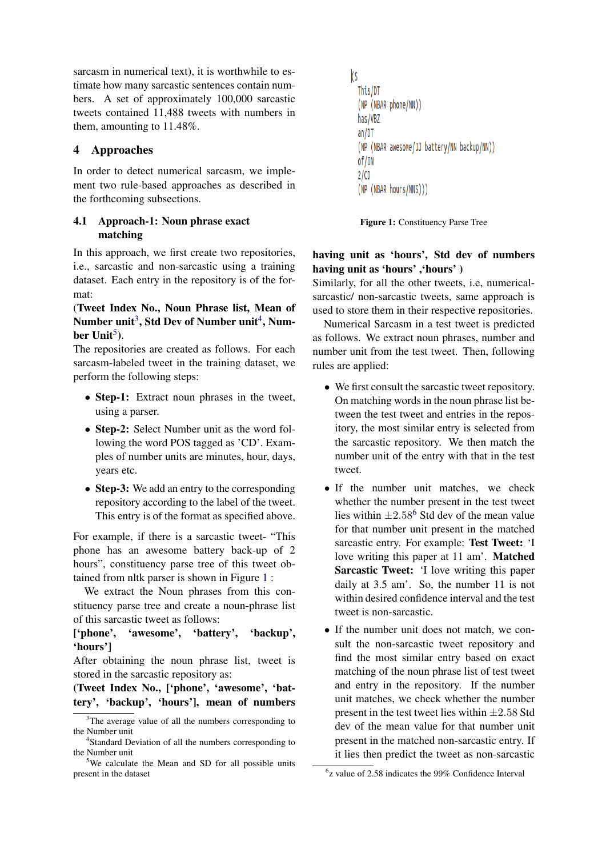sarcasm in numerical text), it is worthwhile to estimate how many sarcastic sentences contain numbers. A set of approximately 100,000 sarcastic tweets contained 11,488 tweets with numbers in them, amounting to 11.48%.

# <span id="page-2-0"></span>4 Approaches

In order to detect numerical sarcasm, we implement two rule-based approaches as described in the forthcoming subsections.

# 4.1 Approach-1: Noun phrase exact matching

In this approach, we first create two repositories, i.e., sarcastic and non-sarcastic using a training dataset. Each entry in the repository is of the format:

(Tweet Index No., Noun Phrase list, Mean of Number unit $^3$  $^3$ , Std Dev of Number unit $^4$  $^4$ , Num-ber Unit<sup>[5](#page-2-3)</sup>).

The repositories are created as follows. For each sarcasm-labeled tweet in the training dataset, we perform the following steps:

- Step-1: Extract noun phrases in the tweet, using a parser.
- Step-2: Select Number unit as the word following the word POS tagged as 'CD'. Examples of number units are minutes, hour, days, years etc.
- Step-3: We add an entry to the corresponding repository according to the label of the tweet. This entry is of the format as specified above.

For example, if there is a sarcastic tweet- "This phone has an awesome battery back-up of 2 hours", constituency parse tree of this tweet obtained from nltk parser is shown in Figure [1](#page-2-4) :

We extract the Noun phrases from this constituency parse tree and create a noun-phrase list of this sarcastic tweet as follows:

['phone', 'awesome', 'battery', 'backup', 'hours']

After obtaining the noun phrase list, tweet is stored in the sarcastic repository as:

(Tweet Index No., ['phone', 'awesome', 'battery', 'backup', 'hours'], mean of numbers

```
\overline{\mathsf{s}}This/DT
(NP (NBAR phone/NN))
has/VBZ
an/DT(NP (NBAR awesome/JJ battery/NN backup/NN))
of/IN
2/CD(NP (NBAR hours/NNS)))
```
Figure 1: Constituency Parse Tree

# having unit as 'hours', Std dev of numbers having unit as 'hours' ,'hours' )

Similarly, for all the other tweets, i.e, numericalsarcastic/ non-sarcastic tweets, same approach is used to store them in their respective repositories.

Numerical Sarcasm in a test tweet is predicted as follows. We extract noun phrases, number and number unit from the test tweet. Then, following rules are applied:

- We first consult the sarcastic tweet repository. On matching words in the noun phrase list between the test tweet and entries in the repository, the most similar entry is selected from the sarcastic repository. We then match the number unit of the entry with that in the test tweet.
- If the number unit matches, we check whether the number present in the test tweet lies within  $\pm 2.58^6$  $\pm 2.58^6$  Std dev of the mean value for that number unit present in the matched sarcastic entry. For example: Test Tweet: 'I love writing this paper at 11 am'. Matched Sarcastic Tweet: 'I love writing this paper daily at 3.5 am'. So, the number 11 is not within desired confidence interval and the test tweet is non-sarcastic.
- If the number unit does not match, we consult the non-sarcastic tweet repository and find the most similar entry based on exact matching of the noun phrase list of test tweet and entry in the repository. If the number unit matches, we check whether the number present in the test tweet lies within  $\pm 2.58$  Std dev of the mean value for that number unit present in the matched non-sarcastic entry. If it lies then predict the tweet as non-sarcastic

<span id="page-2-1"></span> $3$ The average value of all the numbers corresponding to the Number unit

<span id="page-2-2"></span><sup>4</sup> Standard Deviation of all the numbers corresponding to the Number unit

<span id="page-2-3"></span><sup>&</sup>lt;sup>5</sup>We calculate the Mean and SD for all possible units present in the dataset

<span id="page-2-5"></span> $<sup>6</sup>z$  value of 2.58 indicates the 99% Confidence Interval</sup>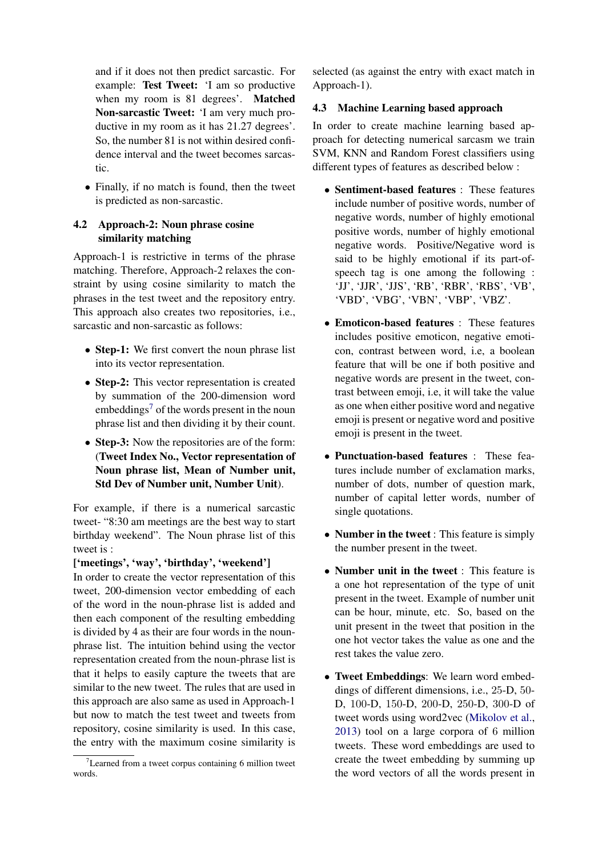and if it does not then predict sarcastic. For example: Test Tweet: 'I am so productive when my room is 81 degrees'. Matched Non-sarcastic Tweet: 'I am very much productive in my room as it has 21.27 degrees'. So, the number 81 is not within desired confidence interval and the tweet becomes sarcastic.

• Finally, if no match is found, then the tweet is predicted as non-sarcastic.

# 4.2 Approach-2: Noun phrase cosine similarity matching

Approach-1 is restrictive in terms of the phrase matching. Therefore, Approach-2 relaxes the constraint by using cosine similarity to match the phrases in the test tweet and the repository entry. This approach also creates two repositories, i.e., sarcastic and non-sarcastic as follows:

- Step-1: We first convert the noun phrase list into its vector representation.
- Step-2: This vector representation is created by summation of the 200-dimension word embeddings<sup>[7](#page-3-0)</sup> of the words present in the noun phrase list and then dividing it by their count.
- Step-3: Now the repositories are of the form: (Tweet Index No., Vector representation of Noun phrase list, Mean of Number unit, Std Dev of Number unit, Number Unit).

For example, if there is a numerical sarcastic tweet- "8:30 am meetings are the best way to start birthday weekend". The Noun phrase list of this tweet is :

### ['meetings', 'way', 'birthday', 'weekend']

In order to create the vector representation of this tweet, 200-dimension vector embedding of each of the word in the noun-phrase list is added and then each component of the resulting embedding is divided by 4 as their are four words in the nounphrase list. The intuition behind using the vector representation created from the noun-phrase list is that it helps to easily capture the tweets that are similar to the new tweet. The rules that are used in this approach are also same as used in Approach-1 but now to match the test tweet and tweets from repository, cosine similarity is used. In this case, the entry with the maximum cosine similarity is

selected (as against the entry with exact match in Approach-1).

#### <span id="page-3-1"></span>4.3 Machine Learning based approach

In order to create machine learning based approach for detecting numerical sarcasm we train SVM, KNN and Random Forest classifiers using different types of features as described below :

- Sentiment-based features : These features include number of positive words, number of negative words, number of highly emotional positive words, number of highly emotional negative words. Positive/Negative word is said to be highly emotional if its part-ofspeech tag is one among the following : 'JJ', 'JJR', 'JJS', 'RB', 'RBR', 'RBS', 'VB', 'VBD', 'VBG', 'VBN', 'VBP', 'VBZ'.
- Emoticon-based features : These features includes positive emoticon, negative emoticon, contrast between word, i.e, a boolean feature that will be one if both positive and negative words are present in the tweet, contrast between emoji, i.e, it will take the value as one when either positive word and negative emoji is present or negative word and positive emoji is present in the tweet.
- Punctuation-based features : These features include number of exclamation marks, number of dots, number of question mark, number of capital letter words, number of single quotations.
- Number in the tweet : This feature is simply the number present in the tweet.
- Number unit in the tweet : This feature is a one hot representation of the type of unit present in the tweet. Example of number unit can be hour, minute, etc. So, based on the unit present in the tweet that position in the one hot vector takes the value as one and the rest takes the value zero.
- Tweet Embeddings: We learn word embeddings of different dimensions, i.e., 25-D, 50- D, 100-D, 150-D, 200-D, 250-D, 300-D of tweet words using word2vec [\(Mikolov et al.,](#page-8-19) [2013\)](#page-8-19) tool on a large corpora of 6 million tweets. These word embeddings are used to create the tweet embedding by summing up the word vectors of all the words present in

<span id="page-3-0"></span> $7$ Learned from a tweet corpus containing 6 million tweet words.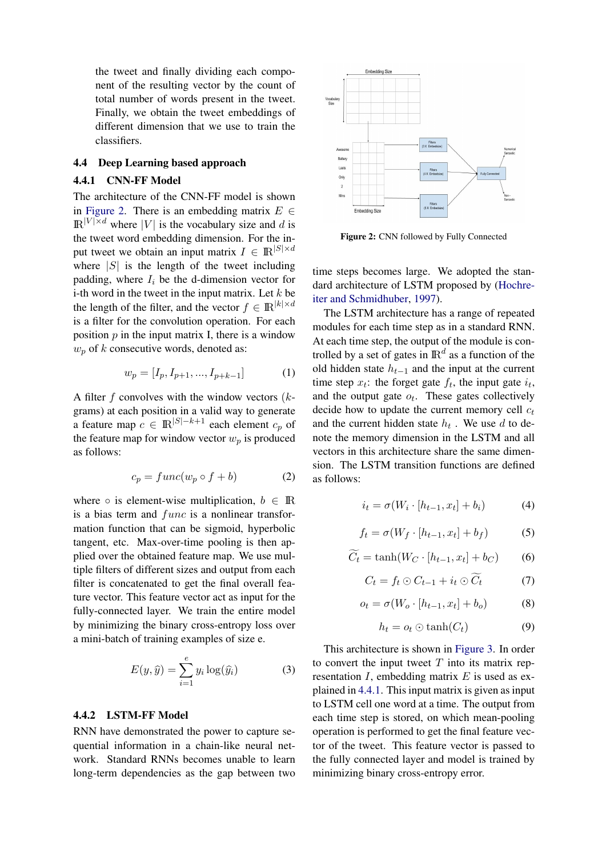the tweet and finally dividing each component of the resulting vector by the count of total number of words present in the tweet. Finally, we obtain the tweet embeddings of different dimension that we use to train the classifiers.

#### 4.4 Deep Learning based approach

#### <span id="page-4-1"></span>4.4.1 CNN-FF Model

The architecture of the CNN-FF model is shown in [Figure 2.](#page-4-0) There is an embedding matrix  $E \in$  $\mathbb{R}^{|V| \times d}$  where |V| is the vocabulary size and d is the tweet word embedding dimension. For the input tweet we obtain an input matrix  $I \in \mathbb{R}^{|S| \times d}$ where  $|S|$  is the length of the tweet including padding, where  $I_i$  be the d-dimension vector for i-th word in the tweet in the input matrix. Let  $k$  be the length of the filter, and the vector  $f \in \mathbb{R}^{|k| \times d}$ is a filter for the convolution operation. For each position  $p$  in the input matrix I, there is a window  $w_p$  of k consecutive words, denoted as:

$$
w_p = [I_p, I_{p+1}, \dots, I_{p+k-1}] \tag{1}
$$

A filter f convolves with the window vectors  $(k$ grams) at each position in a valid way to generate a feature map  $c \in \mathbb{R}^{|S|-k+1}$  each element  $c_n$  of the feature map for window vector  $w_p$  is produced as follows:

$$
c_p = func(w_p \circ f + b)
$$
 (2)

where  $\circ$  is element-wise multiplication,  $b \in \mathbb{R}$ is a bias term and  $func$  is a nonlinear transformation function that can be sigmoid, hyperbolic tangent, etc. Max-over-time pooling is then applied over the obtained feature map. We use multiple filters of different sizes and output from each filter is concatenated to get the final overall feature vector. This feature vector act as input for the fully-connected layer. We train the entire model by minimizing the binary cross-entropy loss over a mini-batch of training examples of size e.

$$
E(y, \hat{y}) = \sum_{i=1}^{e} y_i \log(\hat{y_i})
$$
 (3)

#### 4.4.2 LSTM-FF Model

RNN have demonstrated the power to capture sequential information in a chain-like neural network. Standard RNNs becomes unable to learn long-term dependencies as the gap between two

<span id="page-4-0"></span>

Figure 2: CNN followed by Fully Connected

time steps becomes large. We adopted the standard architecture of LSTM proposed by [\(Hochre](#page-8-20)[iter and Schmidhuber,](#page-8-20) [1997\)](#page-8-20).

The LSTM architecture has a range of repeated modules for each time step as in a standard RNN. At each time step, the output of the module is controlled by a set of gates in  $\mathbb{R}^d$  as a function of the old hidden state  $h_{t-1}$  and the input at the current time step  $x_t$ : the forget gate  $f_t$ , the input gate  $i_t$ , and the output gate  $o_t$ . These gates collectively decide how to update the current memory cell  $c_t$ and the current hidden state  $h_t$ . We use d to denote the memory dimension in the LSTM and all vectors in this architecture share the same dimension. The LSTM transition functions are defined as follows:

$$
i_t = \sigma(W_i \cdot [h_{t-1}, x_t] + b_i)
$$
 (4)

$$
f_t = \sigma(W_f \cdot [h_{t-1}, x_t] + b_f)
$$
 (5)

$$
\widetilde{C_t} = \tanh(W_C \cdot [h_{t-1}, x_t] + b_C) \tag{6}
$$

$$
C_t = f_t \odot C_{t-1} + i_t \odot \widetilde{C}_t \tag{7}
$$

$$
o_t = \sigma(W_o \cdot [h_{t-1}, x_t] + b_o)
$$
 (8)

$$
h_t = o_t \odot \tanh(C_t) \tag{9}
$$

This architecture is shown in [Figure 3.](#page-5-1) In order to convert the input tweet  $T$  into its matrix representation  $I$ , embedding matrix  $E$  is used as explained in [4.4.1.](#page-4-1) This input matrix is given as input to LSTM cell one word at a time. The output from each time step is stored, on which mean-pooling operation is performed to get the final feature vector of the tweet. This feature vector is passed to the fully connected layer and model is trained by minimizing binary cross-entropy error.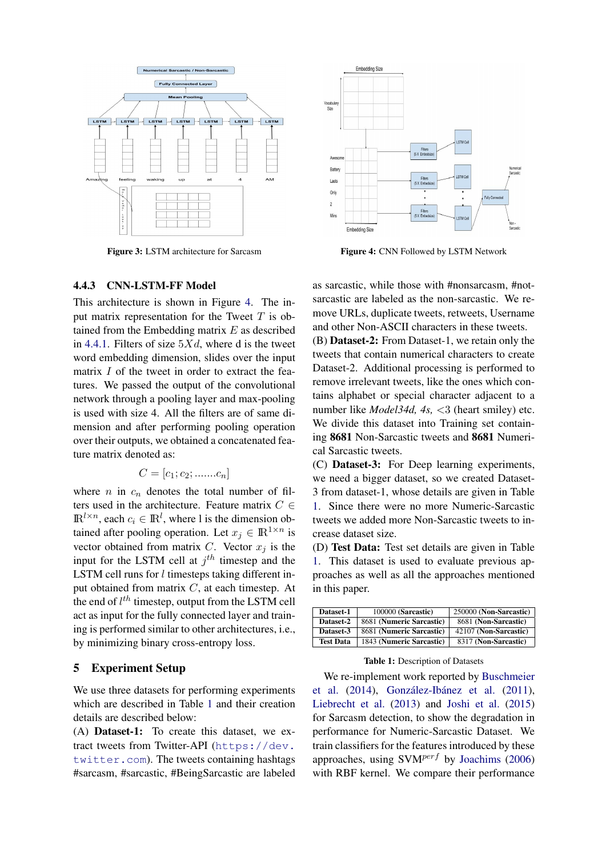<span id="page-5-1"></span>

Figure 3: LSTM architecture for Sarcasm

<span id="page-5-2"></span>

Figure 4: CNN Followed by LSTM Network

#### 4.4.3 CNN-LSTM-FF Model

This architecture is shown in Figure [4.](#page-5-2) The input matrix representation for the Tweet  $T$  is obtained from the Embedding matrix  $E$  as described in [4.4.1.](#page-4-1) Filters of size  $5Xd$ , where d is the tweet word embedding dimension, slides over the input matrix I of the tweet in order to extract the features. We passed the output of the convolutional network through a pooling layer and max-pooling is used with size 4. All the filters are of same dimension and after performing pooling operation over their outputs, we obtained a concatenated feature matrix denoted as:

$$
C = [c_1; c_2; \dots, c_n]
$$

where *n* in  $c_n$  denotes the total number of filters used in the architecture. Feature matrix  $C \in$  $\mathbb{R}^{l \times n}$ , each  $c_i \in \mathbb{R}^l$ , where l is the dimension obtained after pooling operation. Let  $x_j \in \mathbb{R}^{1 \times n}$  is vector obtained from matrix C. Vector  $x_j$  is the input for the LSTM cell at  $j<sup>th</sup>$  timestep and the LSTM cell runs for *l* timesteps taking different input obtained from matrix C, at each timestep. At the end of  $l^{th}$  timestep, output from the LSTM cell act as input for the fully connected layer and training is performed similar to other architectures, i.e., by minimizing binary cross-entropy loss.

#### <span id="page-5-0"></span>5 Experiment Setup

We use three datasets for performing experiments which are described in Table [1](#page-5-3) and their creation details are described below:

(A) Dataset-1: To create this dataset, we extract tweets from Twitter-API ([https://dev.](https://dev.twitter.com) [twitter.com](https://dev.twitter.com)). The tweets containing hashtags #sarcasm, #sarcastic, #BeingSarcastic are labeled

as sarcastic, while those with #nonsarcasm, #notsarcastic are labeled as the non-sarcastic. We remove URLs, duplicate tweets, retweets, Username and other Non-ASCII characters in these tweets. (B) Dataset-2: From Dataset-1, we retain only the tweets that contain numerical characters to create Dataset-2. Additional processing is performed to remove irrelevant tweets, like the ones which con-

tains alphabet or special character adjacent to a number like *Model34d, 4s, <3* (heart smiley) etc. We divide this dataset into Training set containing 8681 Non-Sarcastic tweets and 8681 Numerical Sarcastic tweets.

(C) Dataset-3: For Deep learning experiments, we need a bigger dataset, so we created Dataset-3 from dataset-1, whose details are given in Table [1.](#page-5-3) Since there were no more Numeric-Sarcastic tweets we added more Non-Sarcastic tweets to increase dataset size.

(D) Test Data: Test set details are given in Table [1.](#page-5-3) This dataset is used to evaluate previous approaches as well as all the approaches mentioned in this paper.

<span id="page-5-3"></span>

| Dataset-1        | 100000 (Sarcastic)       | 250000 (Non-Sarcastic) |
|------------------|--------------------------|------------------------|
| Dataset-2        | 8681 (Numeric Sarcastic) | 8681 (Non-Sarcastic)   |
| Dataset-3        | 8681 (Numeric Sarcastic) | 42107 (Non-Sarcastic)  |
| <b>Test Data</b> | 1843 (Numeric Sarcastic) | 8317 (Non-Sarcastic)   |

Table 1: Description of Datasets

We re-implement work reported by [Buschmeier](#page-8-12) [et al.](#page-8-12)  $(2014)$ , González-Ibánez et al.  $(2011)$ , [Liebrecht et al.](#page-8-10) [\(2013\)](#page-8-10) and [Joshi et al.](#page-8-4) [\(2015\)](#page-8-4) for Sarcasm detection, to show the degradation in performance for Numeric-Sarcastic Dataset. We train classifiers for the features introduced by these approaches, using  $SVM^{perf}$  by [Joachims](#page-8-21) [\(2006\)](#page-8-21) with RBF kernel. We compare their performance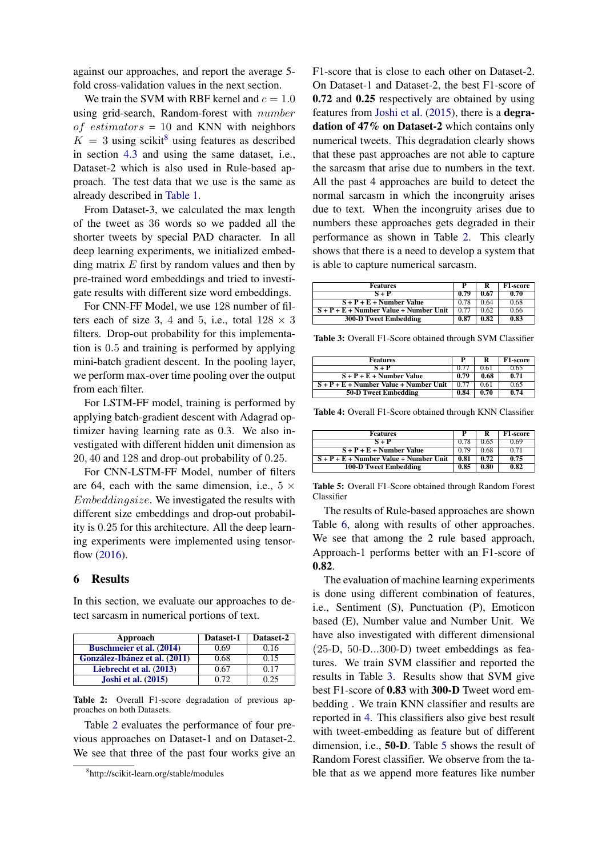against our approaches, and report the average 5 fold cross-validation values in the next section.

We train the SVM with RBF kernel and  $c = 1.0$ using grid-search, Random-forest with number of estimators = 10 and KNN with neighbors  $K = 3$  using scikit<sup>[8](#page-6-1)</sup> using features as described in section [4.3](#page-3-1) and using the same dataset, i.e., Dataset-2 which is also used in Rule-based approach. The test data that we use is the same as already described in [Table 1.](#page-5-3)

From Dataset-3, we calculated the max length of the tweet as 36 words so we padded all the shorter tweets by special PAD character. In all deep learning experiments, we initialized embedding matrix  $E$  first by random values and then by pre-trained word embeddings and tried to investigate results with different size word embeddings.

For CNN-FF Model, we use 128 number of filters each of size 3, 4 and 5, i.e., total  $128 \times 3$ filters. Drop-out probability for this implementation is 0.5 and training is performed by applying mini-batch gradient descent. In the pooling layer, we perform max-over time pooling over the output from each filter.

For LSTM-FF model, training is performed by applying batch-gradient descent with Adagrad optimizer having learning rate as 0.3. We also investigated with different hidden unit dimension as 20, 40 and 128 and drop-out probability of 0.25.

For CNN-LSTM-FF Model, number of filters are 64, each with the same dimension, i.e.,  $5 \times$ Embeddingsize. We investigated the results with different size embeddings and drop-out probability is 0.25 for this architecture. All the deep learning experiments were implemented using tensorflow [\(2016\)](#page-8-22).

#### <span id="page-6-0"></span>6 Results

In this section, we evaluate our approaches to detect sarcasm in numerical portions of text.

<span id="page-6-2"></span>

| Approach                        | Dataset-1 | Dataset-2 |
|---------------------------------|-----------|-----------|
| <b>Buschmeier et al. (2014)</b> | 0.69      | 0.16      |
| González-Ibánez et al. (2011)   | 0.68      | 0.15      |
| Liebrecht et al. (2013)         | 0.67      | 0.17      |
| <b>Joshi et al.</b> (2015)      | 0.72      | 0.25      |

Table 2: Overall F1-score degradation of previous approaches on both Datasets.

Table [2](#page-6-2) evaluates the performance of four previous approaches on Dataset-1 and on Dataset-2. We see that three of the past four works give an

F1-score that is close to each other on Dataset-2. On Dataset-1 and Dataset-2, the best F1-score of 0.72 and 0.25 respectively are obtained by using features from [Joshi et al.](#page-8-4) [\(2015\)](#page-8-4), there is a degradation of 47% on Dataset-2 which contains only numerical tweets. This degradation clearly shows that these past approaches are not able to capture the sarcasm that arise due to numbers in the text. All the past 4 approaches are build to detect the normal sarcasm in which the incongruity arises due to text. When the incongruity arises due to numbers these approaches gets degraded in their performance as shown in Table [2.](#page-6-2) This clearly shows that there is a need to develop a system that is able to capture numerical sarcasm.

<span id="page-6-3"></span>

| <b>Features</b>                          |      | R    | <b>F1-score</b> |
|------------------------------------------|------|------|-----------------|
| $S+P$                                    | 0.79 | 0.67 | 0.70            |
| $S + P + E +$ Number Value               | 0.78 | 0.64 | 0.68            |
| $S + P + E +$ Number Value + Number Unit | 0.77 | 0.62 | 0.66            |
| <b>300-D Tweet Embedding</b>             | 0.87 | 0.82 | 0.83            |

Table 3: Overall F1-Score obtained through SVM Classifier

<span id="page-6-4"></span>

| <b>Features</b>                          |      | R    | F1-score |
|------------------------------------------|------|------|----------|
| $S + P$                                  | 0.77 | 0.61 | 0.65     |
| $S + P + E +$ Number Value               | 0.79 | 0.68 | 0.71     |
| $S + P + E +$ Number Value + Number Unit | 0.77 | 0.61 | 0.65     |
| 50-D Tweet Embedding                     | 0.84 | 0.70 | 0.74     |

Table 4: Overall F1-Score obtained through KNN Classifier

<span id="page-6-5"></span>

| <b>Features</b>                          | р    | R    | <b>F1-score</b> |
|------------------------------------------|------|------|-----------------|
| $S + P$                                  | 0.78 | 0.65 | 0.69            |
| $S + P + E +$ Number Value               | 0.79 | 0.68 | 0.71            |
| $S + P + E +$ Number Value + Number Unit | 0.81 | 0.72 | 0.75            |
| 100-D Tweet Embedding                    | 0.85 | 0.80 | 0.82            |

Table 5: Overall F1-Score obtained through Random Forest Classifier

The results of Rule-based approaches are shown Table [6,](#page-7-2) along with results of other approaches. We see that among the 2 rule based approach, Approach-1 performs better with an F1-score of 0.82.

The evaluation of machine learning experiments is done using different combination of features, i.e., Sentiment (S), Punctuation (P), Emoticon based (E), Number value and Number Unit. We have also investigated with different dimensional (25-D, 50-D...300-D) tweet embeddings as features. We train SVM classifier and reported the results in Table [3.](#page-6-3) Results show that SVM give best F1-score of 0.83 with 300-D Tweet word embedding . We train KNN classifier and results are reported in [4.](#page-6-4) This classifiers also give best result with tweet-embedding as feature but of different dimension, i.e., 50-D. Table [5](#page-6-5) shows the result of Random Forest classifier. We observe from the table that as we append more features like number

<span id="page-6-1"></span><sup>8</sup> http://scikit-learn.org/stable/modules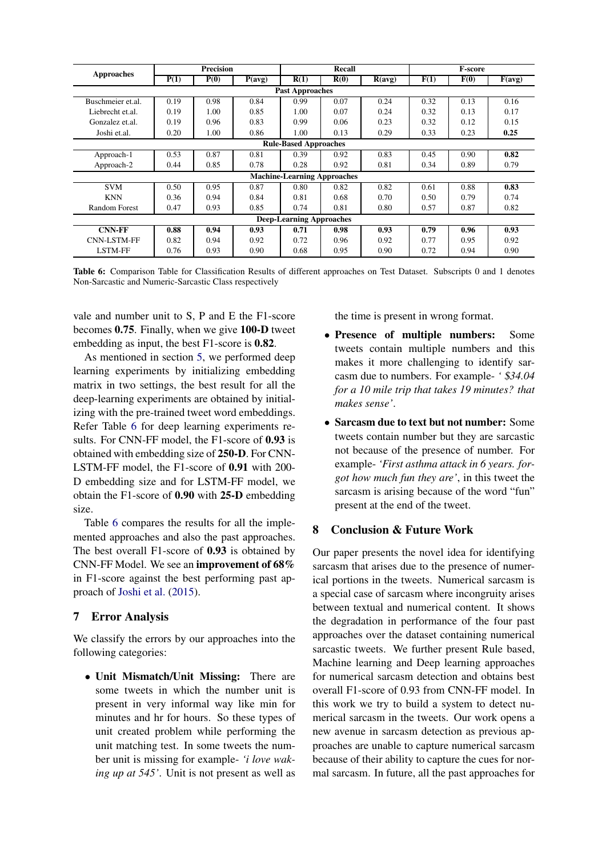<span id="page-7-2"></span>

| <b>Approaches</b>                  | <b>Precision</b> |      |        | Recall                       |      |        | <b>F-score</b> |      |        |
|------------------------------------|------------------|------|--------|------------------------------|------|--------|----------------|------|--------|
|                                    | P(1)             | P(0) | P(avg) | R(1)                         | R(0) | R(avg) | F(1)           | F(0) | F(avg) |
|                                    |                  |      |        | <b>Past Approaches</b>       |      |        |                |      |        |
| Buschmeier et al.                  | 0.19             | 0.98 | 0.84   | 0.99                         | 0.07 | 0.24   | 0.32           | 0.13 | 0.16   |
| Liebrecht et.al.                   | 0.19             | 1.00 | 0.85   | 1.00                         | 0.07 | 0.24   | 0.32           | 0.13 | 0.17   |
| Gonzalez et.al.                    | 0.19             | 0.96 | 0.83   | 0.99                         | 0.06 | 0.23   | 0.32           | 0.12 | 0.15   |
| Joshi et.al.                       | 0.20             | 1.00 | 0.86   | 1.00                         | 0.13 | 0.29   | 0.33           | 0.23 | 0.25   |
|                                    |                  |      |        | <b>Rule-Based Approaches</b> |      |        |                |      |        |
| Approach-1                         | 0.53             | 0.87 | 0.81   | 0.39                         | 0.92 | 0.83   | 0.45           | 0.90 | 0.82   |
| Approach-2                         | 0.44             | 0.85 | 0.78   | 0.28                         | 0.92 | 0.81   | 0.34           | 0.89 | 0.79   |
| <b>Machine-Learning Approaches</b> |                  |      |        |                              |      |        |                |      |        |
| <b>SVM</b>                         | 0.50             | 0.95 | 0.87   | 0.80                         | 0.82 | 0.82   | 0.61           | 0.88 | 0.83   |
| <b>KNN</b>                         | 0.36             | 0.94 | 0.84   | 0.81                         | 0.68 | 0.70   | 0.50           | 0.79 | 0.74   |
| <b>Random Forest</b>               | 0.47             | 0.93 | 0.85   | 0.74                         | 0.81 | 0.80   | 0.57           | 0.87 | 0.82   |
| <b>Deep-Learning Approaches</b>    |                  |      |        |                              |      |        |                |      |        |
| <b>CNN-FF</b>                      | 0.88             | 0.94 | 0.93   | 0.71                         | 0.98 | 0.93   | 0.79           | 0.96 | 0.93   |
| <b>CNN-LSTM-FF</b>                 | 0.82             | 0.94 | 0.92   | 0.72                         | 0.96 | 0.92   | 0.77           | 0.95 | 0.92   |
| <b>LSTM-FF</b>                     | 0.76             | 0.93 | 0.90   | 0.68                         | 0.95 | 0.90   | 0.72           | 0.94 | 0.90   |

Table 6: Comparison Table for Classification Results of different approaches on Test Dataset. Subscripts 0 and 1 denotes Non-Sarcastic and Numeric-Sarcastic Class respectively

vale and number unit to S, P and E the F1-score becomes 0.75. Finally, when we give 100-D tweet embedding as input, the best F1-score is 0.82.

As mentioned in section [5,](#page-5-0) we performed deep learning experiments by initializing embedding matrix in two settings, the best result for all the deep-learning experiments are obtained by initializing with the pre-trained tweet word embeddings. Refer Table [6](#page-7-2) for deep learning experiments results. For CNN-FF model, the F1-score of 0.93 is obtained with embedding size of 250-D. For CNN-LSTM-FF model, the F1-score of 0.91 with 200- D embedding size and for LSTM-FF model, we obtain the F1-score of 0.90 with 25-D embedding size.

Table [6](#page-7-2) compares the results for all the implemented approaches and also the past approaches. The best overall F1-score of 0.93 is obtained by CNN-FF Model. We see an improvement of 68% in F1-score against the best performing past approach of [Joshi et al.](#page-8-4) [\(2015\)](#page-8-4).

### <span id="page-7-0"></span>7 Error Analysis

We classify the errors by our approaches into the following categories:

• Unit Mismatch/Unit Missing: There are some tweets in which the number unit is present in very informal way like min for minutes and hr for hours. So these types of unit created problem while performing the unit matching test. In some tweets the number unit is missing for example- *'i love waking up at 545'*. Unit is not present as well as the time is present in wrong format.

- Presence of multiple numbers: Some tweets contain multiple numbers and this makes it more challenging to identify sarcasm due to numbers. For example- *'* \$*34.04 for a 10 mile trip that takes 19 minutes? that makes sense'*.
- Sarcasm due to text but not number: Some tweets contain number but they are sarcastic not because of the presence of number. For example- *'First asthma attack in 6 years. forgot how much fun they are'*, in this tweet the sarcasm is arising because of the word "fun" present at the end of the tweet.

### <span id="page-7-1"></span>8 Conclusion & Future Work

Our paper presents the novel idea for identifying sarcasm that arises due to the presence of numerical portions in the tweets. Numerical sarcasm is a special case of sarcasm where incongruity arises between textual and numerical content. It shows the degradation in performance of the four past approaches over the dataset containing numerical sarcastic tweets. We further present Rule based, Machine learning and Deep learning approaches for numerical sarcasm detection and obtains best overall F1-score of 0.93 from CNN-FF model. In this work we try to build a system to detect numerical sarcasm in the tweets. Our work opens a new avenue in sarcasm detection as previous approaches are unable to capture numerical sarcasm because of their ability to capture the cues for normal sarcasm. In future, all the past approaches for